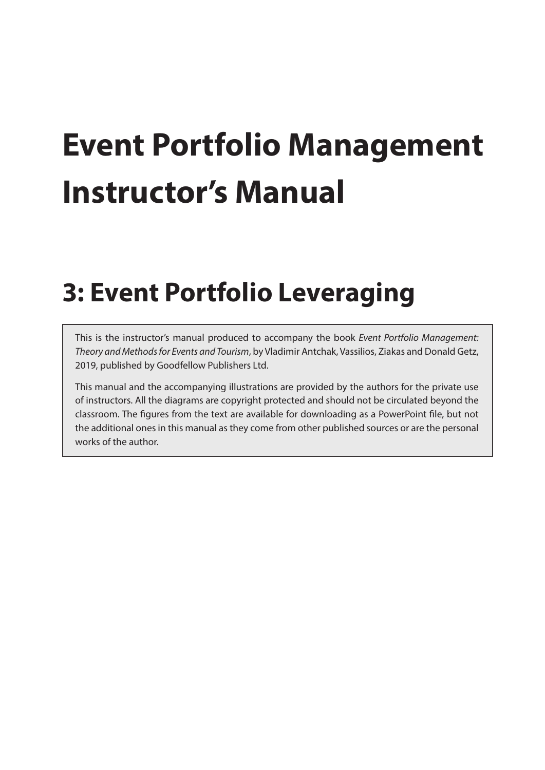# **Event Portfolio Management Instructor's Manual**

## **3: Event Portfolio Leveraging**

This is the instructor's manual produced to accompany the book *Event Portfolio Management: Theory and Methods for Events and Tourism*, by Vladimir Antchak, Vassilios, Ziakas and Donald Getz, 2019, published by Goodfellow Publishers Ltd.

This manual and the accompanying illustrations are provided by the authors for the private use of instructors. All the diagrams are copyright protected and should not be circulated beyond the classroom. The figures from the text are available for downloading as a PowerPoint file, but not the additional ones in this manual as they come from other published sources or are the personal works of the author.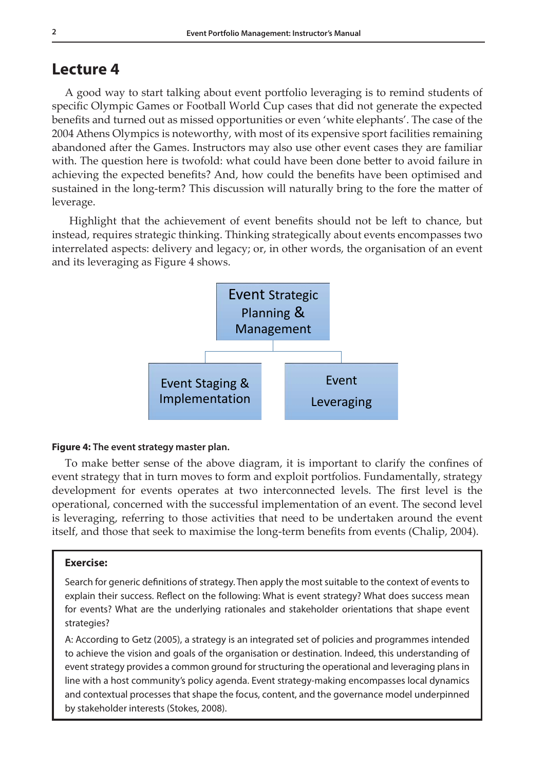## **Lecture 4**

A good way to start talking about event portfolio leveraging is to remind students of specific Olympic Games or Football World Cup cases that did not generate the expected benefits and turned out as missed opportunities or even 'white elephants'. The case of the 2004 Athens Olympics is noteworthy, with most of its expensive sport facilities remaining abandoned after the Games. Instructors may also use other event cases they are familiar with. The question here is twofold: what could have been done better to avoid failure in achieving the expected benefits? And, how could the benefits have been optimised and sustained in the long-term? This discussion will naturally bring to the fore the matter of leverage.

 Highlight that the achievement of event benefits should not be left to chance, but instead, requires strategic thinking. Thinking strategically about events encompasses two interrelated aspects: delivery and legacy; or, in other words, the organisation of an event and its leveraging as Figure 4 shows.



#### **Figure 4: The event strategy master plan.**

To make better sense of the above diagram, it is important to clarify the confines of event strategy that in turn moves to form and exploit portfolios. Fundamentally, strategy development for events operates at two interconnected levels. The first level is the operational, concerned with the successful implementation of an event. The second level is leveraging, referring to those activities that need to be undertaken around the event itself, and those that seek to maximise the long-term benefits from events (Chalip, 2004).

#### **Exercise:**

Search for generic definitions of strategy. Then apply the most suitable to the context of events to explain their success. Reflect on the following: What is event strategy? What does success mean for events? What are the underlying rationales and stakeholder orientations that shape event strategies?

A: According to Getz (2005), a strategy is an integrated set of policies and programmes intended to achieve the vision and goals of the organisation or destination. Indeed, this understanding of event strategy provides a common ground for structuring the operational and leveraging plans in line with a host community's policy agenda. Event strategy-making encompasses local dynamics and contextual processes that shape the focus, content, and the governance model underpinned by stakeholder interests (Stokes, 2008).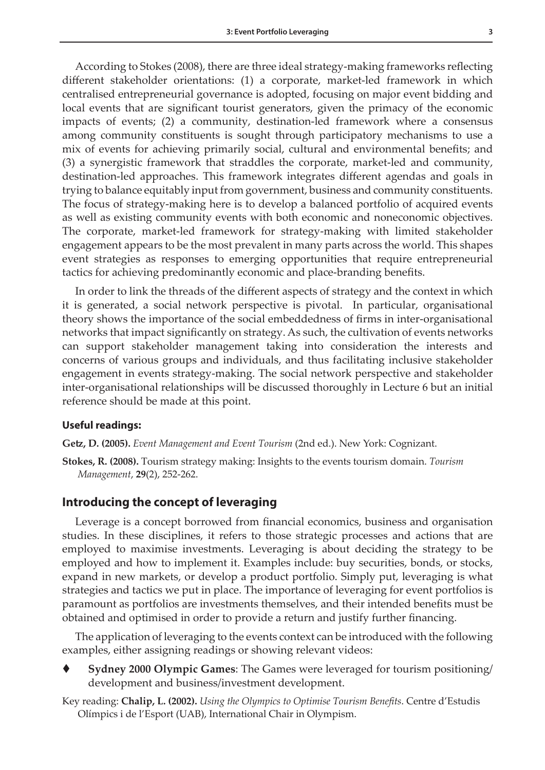According to Stokes (2008), there are three ideal strategy-making frameworks reflecting different stakeholder orientations: (1) a corporate, market-led framework in which centralised entrepreneurial governance is adopted, focusing on major event bidding and local events that are significant tourist generators, given the primacy of the economic impacts of events; (2) a community, destination-led framework where a consensus among community constituents is sought through participatory mechanisms to use a mix of events for achieving primarily social, cultural and environmental benefits; and (3) a synergistic framework that straddles the corporate, market-led and community, destination-led approaches. This framework integrates different agendas and goals in trying to balance equitably input from government, business and community constituents. The focus of strategy-making here is to develop a balanced portfolio of acquired events as well as existing community events with both economic and noneconomic objectives. The corporate, market-led framework for strategy-making with limited stakeholder engagement appears to be the most prevalent in many parts across the world. This shapes event strategies as responses to emerging opportunities that require entrepreneurial tactics for achieving predominantly economic and place-branding benefits.

In order to link the threads of the different aspects of strategy and the context in which it is generated, a social network perspective is pivotal. In particular, organisational theory shows the importance of the social embeddedness of firms in inter-organisational networks that impact significantly on strategy. As such, the cultivation of events networks can support stakeholder management taking into consideration the interests and concerns of various groups and individuals, and thus facilitating inclusive stakeholder engagement in events strategy-making. The social network perspective and stakeholder inter-organisational relationships will be discussed thoroughly in Lecture 6 but an initial reference should be made at this point.

#### **Useful readings:**

**Getz, D. (2005).** *Event Management and Event Tourism* (2nd ed.). New York: Cognizant.

**Stokes, R. (2008).** Tourism strategy making: Insights to the events tourism domain. *Tourism Management*, **29**(2), 252-262.

#### **Introducing the concept of leveraging**

Leverage is a concept borrowed from financial economics, business and organisation studies. In these disciplines, it refers to those strategic processes and actions that are employed to maximise investments. Leveraging is about deciding the strategy to be employed and how to implement it. Examples include: buy securities, bonds, or stocks, expand in new markets, or develop a product portfolio. Simply put, leveraging is what strategies and tactics we put in place. The importance of leveraging for event portfolios is paramount as portfolios are investments themselves, and their intended benefits must be obtained and optimised in order to provide a return and justify further financing.

The application of leveraging to the events context can be introduced with the following examples, either assigning readings or showing relevant videos:

 **Sydney 2000 Olympic Games**: The Games were leveraged for tourism positioning/ development and business/investment development.

Key reading: **Chalip, L. (2002).** *Using the Olympics to Optimise Tourism Benefits*. Centre d'Estudis Olímpics i de l'Esport (UAB), International Chair in Olympism.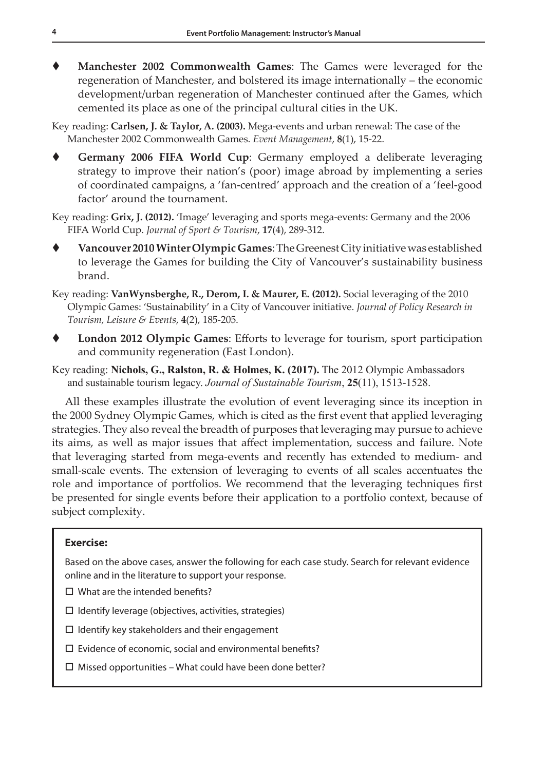**Manchester 2002 Commonwealth Games**: The Games were leveraged for the regeneration of Manchester, and bolstered its image internationally – the economic development/urban regeneration of Manchester continued after the Games, which cemented its place as one of the principal cultural cities in the UK.

Key reading: **Carlsen, J. & Taylor, A. (2003).** Mega-events and urban renewal: The case of the Manchester 2002 Commonwealth Games. *Event Management*, **8**(1), 15-22.

 **Germany 2006 FIFA World Cup**: Germany employed a deliberate leveraging strategy to improve their nation's (poor) image abroad by implementing a series of coordinated campaigns, a 'fan-centred' approach and the creation of a 'feel-good factor' around the tournament.

Key reading: **Grix, J. (2012).** 'Image' leveraging and sports mega-events: Germany and the 2006 FIFA World Cup. *Journal of Sport & Tourism*, **17**(4), 289-312.

 **Vancouver 2010 Winter Olympic Games**: The Greenest City initiative was established to leverage the Games for building the City of Vancouver's sustainability business brand.

Key reading: **VanWynsberghe, R., Derom, I. & Maurer, E. (2012).** Social leveraging of the 2010 Olympic Games: 'Sustainability' in a City of Vancouver initiative. *Journal of Policy Research in Tourism, Leisure & Events*, **4**(2), 185-205.

- **London 2012 Olympic Games**: Efforts to leverage for tourism, sport participation and community regeneration (East London).
- Key reading: **Nichols, G., Ralston, R. & Holmes, K. (2017).** The 2012 Olympic Ambassadors and sustainable tourism legacy. *Journal of Sustainable Tourism*, **25**(11), 1513-1528.

All these examples illustrate the evolution of event leveraging since its inception in the 2000 Sydney Olympic Games, which is cited as the first event that applied leveraging strategies. They also reveal the breadth of purposes that leveraging may pursue to achieve its aims, as well as major issues that affect implementation, success and failure. Note that leveraging started from mega-events and recently has extended to medium- and small-scale events. The extension of leveraging to events of all scales accentuates the role and importance of portfolios. We recommend that the leveraging techniques first be presented for single events before their application to a portfolio context, because of subject complexity.

#### **Exercise:**

Based on the above cases, answer the following for each case study. Search for relevant evidence online and in the literature to support your response.

- $\Box$  What are the intended benefits?
- $\square$  Identify leverage (objectives, activities, strategies)
- $\square$  Identify key stakeholders and their engagement
- $\square$  Evidence of economic, social and environmental benefits?
- $\Box$  Missed opportunities What could have been done better?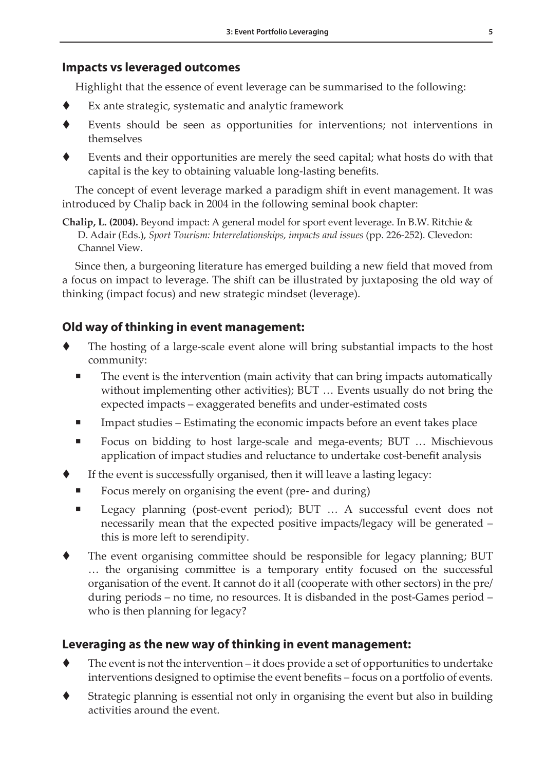#### **Impacts vs leveraged outcomes**

Highlight that the essence of event leverage can be summarised to the following:

- Ex ante strategic, systematic and analytic framework
- Events should be seen as opportunities for interventions; not interventions in themselves
- Events and their opportunities are merely the seed capital; what hosts do with that capital is the key to obtaining valuable long-lasting benefits.

The concept of event leverage marked a paradigm shift in event management. It was introduced by Chalip back in 2004 in the following seminal book chapter:

**Chalip, L. (2004).** Beyond impact: A general model for sport event leverage. In B.W. Ritchie & D. Adair (Eds.), *Sport Tourism: Interrelationships, impacts and issues* (pp. 226-252). Clevedon: Channel View.

Since then, a burgeoning literature has emerged building a new field that moved from a focus on impact to leverage. The shift can be illustrated by juxtaposing the old way of thinking (impact focus) and new strategic mindset (leverage).

#### **Old way of thinking in event management:**

- The hosting of a large-scale event alone will bring substantial impacts to the host community:
	- The event is the intervention (main activity that can bring impacts automatically without implementing other activities); BUT … Events usually do not bring the expected impacts – exaggerated benefits and under-estimated costs
	- Impact studies Estimating the economic impacts before an event takes place
	- Focus on bidding to host large-scale and mega-events; BUT ... Mischievous application of impact studies and reluctance to undertake cost-benefit analysis
- If the event is successfully organised, then it will leave a lasting legacy:
	- Focus merely on organising the event (pre- and during)
	- Legacy planning (post-event period); BUT … A successful event does not necessarily mean that the expected positive impacts/legacy will be generated – this is more left to serendipity.
- The event organising committee should be responsible for legacy planning; BUT … the organising committee is a temporary entity focused on the successful organisation of the event. It cannot do it all (cooperate with other sectors) in the pre/ during periods – no time, no resources. It is disbanded in the post-Games period – who is then planning for legacy?

#### **Leveraging as the new way of thinking in event management:**

- The event is not the intervention it does provide a set of opportunities to undertake interventions designed to optimise the event benefits – focus on a portfolio of events.
- Strategic planning is essential not only in organising the event but also in building activities around the event.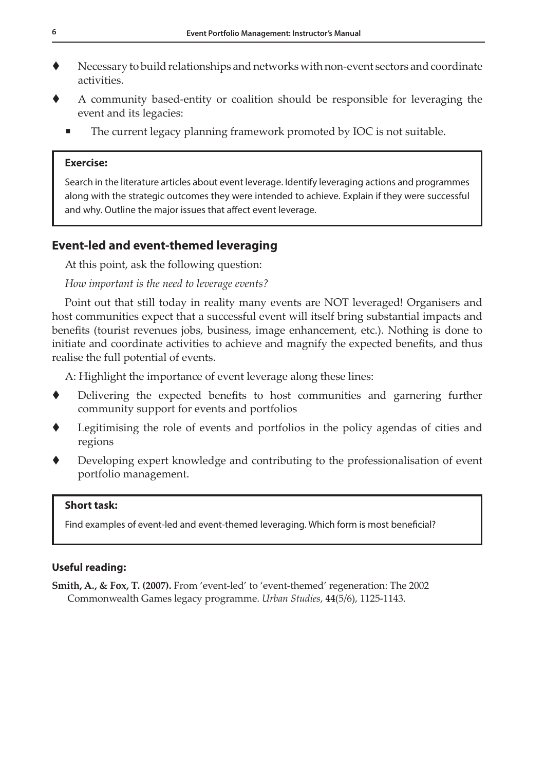- Necessary to build relationships and networks with non-event sectors and coordinate activities.
- A community based-entity or coalition should be responsible for leveraging the event and its legacies:
	- The current legacy planning framework promoted by IOC is not suitable.

#### **Exercise:**

Search in the literature articles about event leverage. Identify leveraging actions and programmes along with the strategic outcomes they were intended to achieve. Explain if they were successful and why. Outline the major issues that affect event leverage.

#### **Event-led and event-themed leveraging**

At this point, ask the following question:

#### *How important is the need to leverage events?*

Point out that still today in reality many events are NOT leveraged! Organisers and host communities expect that a successful event will itself bring substantial impacts and benefits (tourist revenues jobs, business, image enhancement, etc.). Nothing is done to initiate and coordinate activities to achieve and magnify the expected benefits, and thus realise the full potential of events.

A: Highlight the importance of event leverage along these lines:

- Delivering the expected benefits to host communities and garnering further community support for events and portfolios
- Legitimising the role of events and portfolios in the policy agendas of cities and regions
- Developing expert knowledge and contributing to the professionalisation of event portfolio management.

#### **Short task:**

Find examples of event-led and event-themed leveraging. Which form is most beneficial?

#### **Useful reading:**

**Smith, A., & Fox, T. (2007).** From 'event-led' to 'event-themed' regeneration: The 2002 Commonwealth Games legacy programme. *Urban Studies*, **44**(5/6), 1125-1143.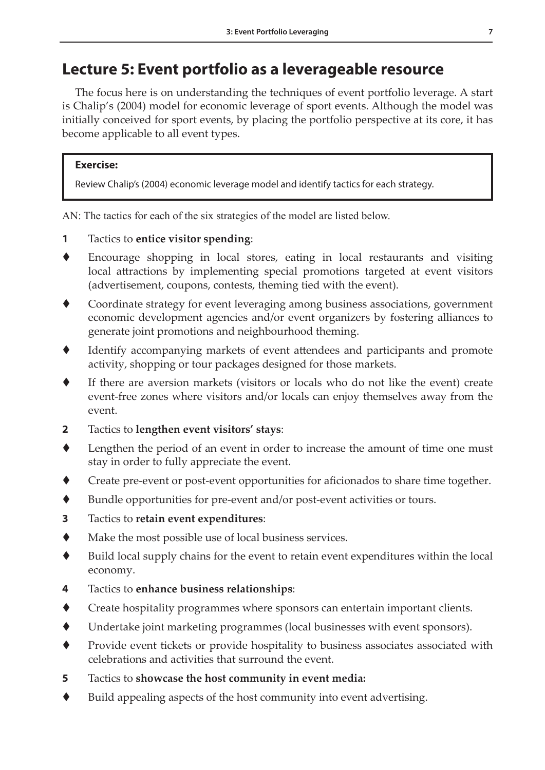## **Lecture 5: Event portfolio as a leverageable resource**

The focus here is on understanding the techniques of event portfolio leverage. A start is Chalip's (2004) model for economic leverage of sport events. Although the model was initially conceived for sport events, by placing the portfolio perspective at its core, it has become applicable to all event types.

#### **Exercise:**

Review Chalip's (2004) economic leverage model and identify tactics for each strategy.

AN: The tactics for each of the six strategies of the model are listed below.

- **1** Tactics to **entice visitor spending**:
- Encourage shopping in local stores, eating in local restaurants and visiting local attractions by implementing special promotions targeted at event visitors (advertisement, coupons, contests, theming tied with the event).
- Coordinate strategy for event leveraging among business associations, government economic development agencies and/or event organizers by fostering alliances to generate joint promotions and neighbourhood theming.
- Identify accompanying markets of event attendees and participants and promote activity, shopping or tour packages designed for those markets.
- If there are aversion markets (visitors or locals who do not like the event) create event-free zones where visitors and/or locals can enjoy themselves away from the event.
- **2** Tactics to **lengthen event visitors' stays**:
- Lengthen the period of an event in order to increase the amount of time one must stay in order to fully appreciate the event.
- Create pre-event or post-event opportunities for aficionados to share time together.
- Bundle opportunities for pre-event and/or post-event activities or tours.
- **3** Tactics to **retain event expenditures**:
- Make the most possible use of local business services.
- Build local supply chains for the event to retain event expenditures within the local economy.
- **4** Tactics to **enhance business relationships**:
- Create hospitality programmes where sponsors can entertain important clients.
- Undertake joint marketing programmes (local businesses with event sponsors).
- Provide event tickets or provide hospitality to business associates associated with celebrations and activities that surround the event.
- **5** Tactics to **showcase the host community in event media:**
- Build appealing aspects of the host community into event advertising.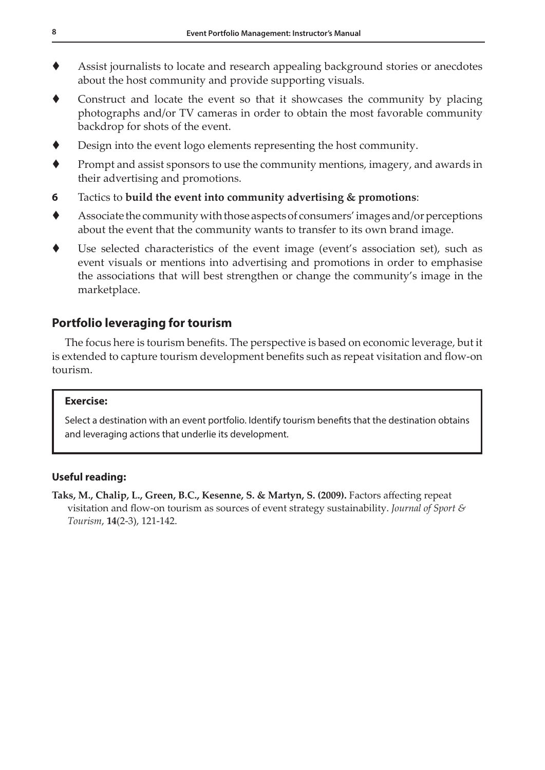- Assist journalists to locate and research appealing background stories or anecdotes about the host community and provide supporting visuals.
- Construct and locate the event so that it showcases the community by placing photographs and/or TV cameras in order to obtain the most favorable community backdrop for shots of the event.
- Design into the event logo elements representing the host community.
- $\blacklozenge$  Prompt and assist sponsors to use the community mentions, imagery, and awards in their advertising and promotions.
- **6** Tactics to **build the event into community advertising & promotions**:
- Associate the community with those aspects of consumers' images and/or perceptions about the event that the community wants to transfer to its own brand image.
- Use selected characteristics of the event image (event's association set), such as event visuals or mentions into advertising and promotions in order to emphasise the associations that will best strengthen or change the community's image in the marketplace.

#### **Portfolio leveraging for tourism**

The focus here is tourism benefits. The perspective is based on economic leverage, but it is extended to capture tourism development benefits such as repeat visitation and flow-on tourism.

#### **Exercise:**

Select a destination with an event portfolio. Identify tourism benefits that the destination obtains and leveraging actions that underlie its development.

#### **Useful reading:**

**Taks, M., Chalip, L., Green, B.C., Kesenne, S. & Martyn, S. (2009).** Factors affecting repeat visitation and flow-on tourism as sources of event strategy sustainability. *Journal of Sport & Tourism*, **14**(2-3), 121-142.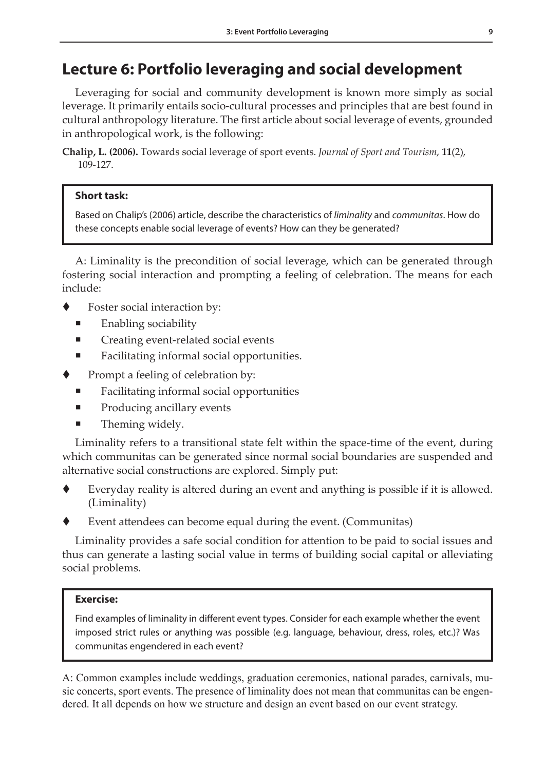## **Lecture 6: Portfolio leveraging and social development**

Leveraging for social and community development is known more simply as social leverage. It primarily entails socio-cultural processes and principles that are best found in cultural anthropology literature. The first article about social leverage of events, grounded in anthropological work, is the following:

**Chalip, L. (2006).** Towards social leverage of sport events. *Journal of Sport and Tourism*, **11**(2), 109-127.

#### **Short task:**

Based on Chalip's (2006) article, describe the characteristics of *liminality* and *communitas*. How do these concepts enable social leverage of events? How can they be generated?

A: Liminality is the precondition of social leverage, which can be generated through fostering social interaction and prompting a feeling of celebration. The means for each include:

- Foster social interaction by:
	- Enabling sociability
	- Creating event-related social events
	- Facilitating informal social opportunities.
- Prompt a feeling of celebration by:
	- Facilitating informal social opportunities
	- Producing ancillary events
	- Theming widely.

Liminality refers to a transitional state felt within the space-time of the event, during which communitas can be generated since normal social boundaries are suspended and alternative social constructions are explored. Simply put:

- Everyday reality is altered during an event and anything is possible if it is allowed. (Liminality)
- Event attendees can become equal during the event. (Communitas)

Liminality provides a safe social condition for attention to be paid to social issues and thus can generate a lasting social value in terms of building social capital or alleviating social problems.

#### **Exercise:**

Find examples of liminality in different event types. Consider for each example whether the event imposed strict rules or anything was possible (e.g. language, behaviour, dress, roles, etc.)? Was communitas engendered in each event?

A: Common examples include weddings, graduation ceremonies, national parades, carnivals, music concerts, sport events. The presence of liminality does not mean that communitas can be engendered. It all depends on how we structure and design an event based on our event strategy.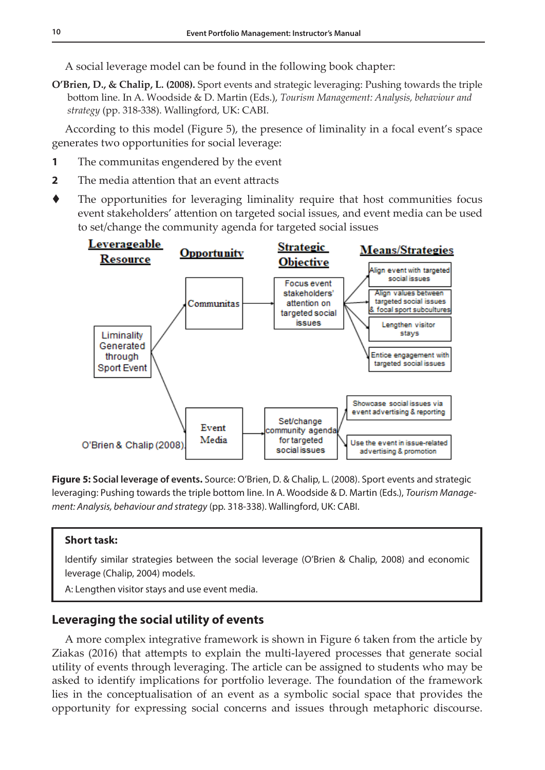A social leverage model can be found in the following book chapter:

**O'Brien, D., & Chalip, L. (2008).** Sport events and strategic leveraging: Pushing towards the triple bottom line. In A. Woodside & D. Martin (Eds.), *Tourism Management: Analysis, behaviour and strategy* (pp. 318-338). Wallingford, UK: CABI.

According to this model (Figure 5), the presence of liminality in a focal event's space generates two opportunities for social leverage:

- **1** The communitas engendered by the event
- **2** The media attention that an event attracts
- The opportunities for leveraging liminality require that host communities focus event stakeholders' attention on targeted social issues, and event media can be used to set/change the community agenda for targeted social issues



**Figure 5: Social leverage of events.** Source: O'Brien, D. & Chalip, L. (2008). Sport events and strategic leveraging: Pushing towards the triple bottom line. In A. Woodside & D. Martin (Eds.), *Tourism Management: Analysis, behaviour and strategy* (pp. 318-338). Wallingford, UK: CABI.

#### **Short task:**

Identify similar strategies between the social leverage (O'Brien & Chalip, 2008) and economic leverage (Chalip, 2004) models.

A: Lengthen visitor stays and use event media.

#### **Leveraging the social utility of events**

A more complex integrative framework is shown in Figure 6 taken from the article by Ziakas (2016) that attempts to explain the multi-layered processes that generate social utility of events through leveraging. The article can be assigned to students who may be asked to identify implications for portfolio leverage. The foundation of the framework lies in the conceptualisation of an event as a symbolic social space that provides the opportunity for expressing social concerns and issues through metaphoric discourse.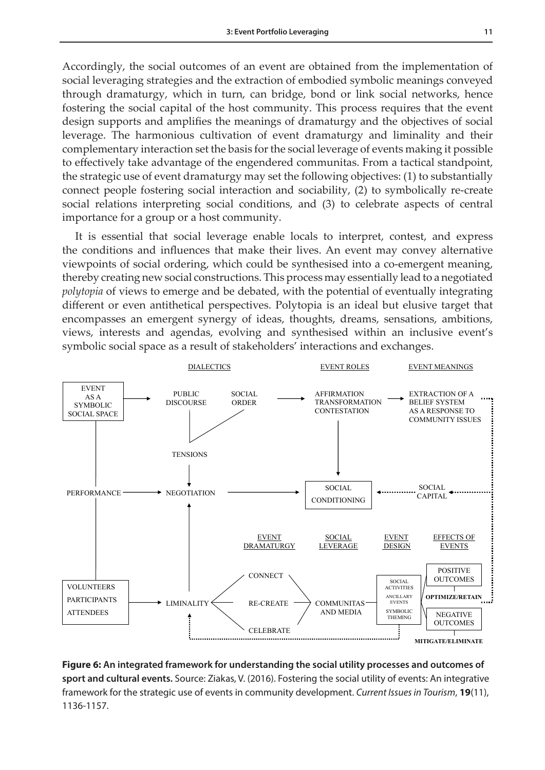Accordingly, the social outcomes of an event are obtained from the implementation of social leveraging strategies and the extraction of embodied symbolic meanings conveyed through dramaturgy, which in turn, can bridge, bond or link social networks, hence fostering the social capital of the host community. This process requires that the event design supports and amplifies the meanings of dramaturgy and the objectives of social leverage. The harmonious cultivation of event dramaturgy and liminality and their complementary interaction set the basis for the social leverage of events making it possible to effectively take advantage of the engendered communitas. From a tactical standpoint, the strategic use of event dramaturgy may set the following objectives: (1) to substantially connect people fostering social interaction and sociability, (2) to symbolically re-create social relations interpreting social conditions, and (3) to celebrate aspects of central importance for a group or a host community.

It is essential that social leverage enable locals to interpret, contest, and express the conditions and influences that make their lives. An event may convey alternative viewpoints of social ordering, which could be synthesised into a co-emergent meaning, thereby creating new social constructions. This process may essentially lead to a negotiated *polytopia* of views to emerge and be debated, with the potential of eventually integrating different or even antithetical perspectives. Polytopia is an ideal but elusive target that encompasses an emergent synergy of ideas, thoughts, dreams, sensations, ambitions, views, interests and agendas, evolving and synthesised within an inclusive event's symbolic social space as a result of stakeholders' interactions and exchanges.



1 **Figure 6: An integrated framework for understanding the social utility processes and outcomes of sport and cultural events.** Source: Ziakas, V. (2016). Fostering the social utility of events: An integrative framework for the strategic use of events in community development. *Current Issues in Tourism*, **19**(11), 1136-1157.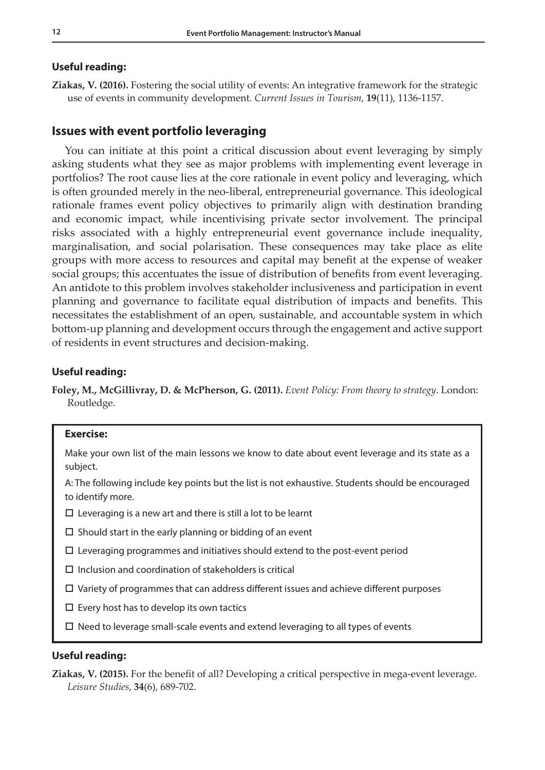#### **Useful reading:**

**Ziakas, V. (2016).** Fostering the social utility of events: An integrative framework for the strategic use of events in community development. *Current Issues in Tourism*, **19**(11), 1136-1157.

#### **Issues with event portfolio leveraging**

You can initiate at this point a critical discussion about event leveraging by simply asking students what they see as major problems with implementing event leverage in portfolios? The root cause lies at the core rationale in event policy and leveraging, which is often grounded merely in the neo-liberal, entrepreneurial governance. This ideological rationale frames event policy objectives to primarily align with destination branding and economic impact, while incentivising private sector involvement. The principal risks associated with a highly entrepreneurial event governance include inequality, marginalisation, and social polarisation. These consequences may take place as elite groups with more access to resources and capital may benefit at the expense of weaker social groups; this accentuates the issue of distribution of benefits from event leveraging. An antidote to this problem involves stakeholder inclusiveness and participation in event planning and governance to facilitate equal distribution of impacts and benefits. This necessitates the establishment of an open, sustainable, and accountable system in which bottom-up planning and development occurs through the engagement and active support of residents in event structures and decision-making.

#### **Useful reading:**

**Foley, M., McGillivray, D. & McPherson, G. (2011).** *Event Policy: From theory to strategy.* London: Routledge.

#### **Exercise:**

Make your own list of the main lessons we know to date about event leverage and its state as a subject.

A: The following include key points but the list is not exhaustive. Students should be encouraged to identify more.

- $\square$  Leveraging is a new art and there is still a lot to be learnt
- $\square$  Should start in the early planning or bidding of an event
- $\square$  Leveraging programmes and initiatives should extend to the post-event period
- $\square$  Inclusion and coordination of stakeholders is critical
- $\Box$  Variety of programmes that can address different issues and achieve different purposes
- $\square$  Every host has to develop its own tactics
- $\square$  Need to leverage small-scale events and extend leveraging to all types of events

#### **Useful reading:**

**Ziakas, V. (2015).** For the benefit of all? Developing a critical perspective in mega-event leverage. *Leisure Studies*, **34**(6), 689-702.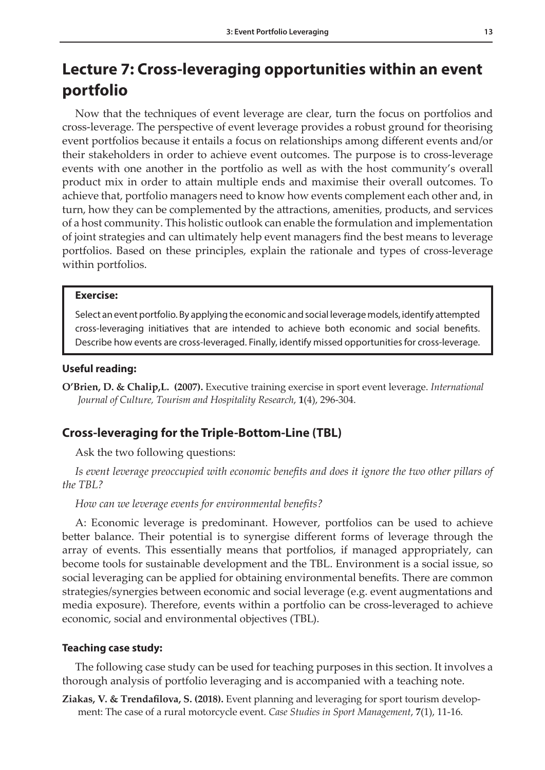## **Lecture 7: Cross-leveraging opportunities within an event portfolio**

Now that the techniques of event leverage are clear, turn the focus on portfolios and cross-leverage. The perspective of event leverage provides a robust ground for theorising event portfolios because it entails a focus on relationships among different events and/or their stakeholders in order to achieve event outcomes. The purpose is to cross-leverage events with one another in the portfolio as well as with the host community's overall product mix in order to attain multiple ends and maximise their overall outcomes. To achieve that, portfolio managers need to know how events complement each other and, in turn, how they can be complemented by the attractions, amenities, products, and services of a host community. This holistic outlook can enable the formulation and implementation of joint strategies and can ultimately help event managers find the best means to leverage portfolios. Based on these principles, explain the rationale and types of cross-leverage within portfolios.

#### **Exercise:**

Select an event portfolio. By applying the economic and social leverage models, identify attempted cross-leveraging initiatives that are intended to achieve both economic and social benefits. Describe how events are cross-leveraged. Finally, identify missed opportunities for cross-leverage.

#### **Useful reading:**

**O'Brien, D. & Chalip,L. (2007).** Executive training exercise in sport event leverage. *International Journal of Culture, Tourism and Hospitality Research*, **1**(4), 296-304.

#### **Cross-leveraging for the Triple-Bottom-Line (TBL)**

Ask the two following questions:

*Is event leverage preoccupied with economic benefits and does it ignore the two other pillars of the TBL?*

*How can we leverage events for environmental benefits?*

A: Economic leverage is predominant. However, portfolios can be used to achieve better balance. Their potential is to synergise different forms of leverage through the array of events. This essentially means that portfolios, if managed appropriately, can become tools for sustainable development and the TBL. Environment is a social issue, so social leveraging can be applied for obtaining environmental benefits. There are common strategies/synergies between economic and social leverage (e.g. event augmentations and media exposure). Therefore, events within a portfolio can be cross-leveraged to achieve economic, social and environmental objectives (TBL).

#### **Teaching case study:**

The following case study can be used for teaching purposes in this section. It involves a thorough analysis of portfolio leveraging and is accompanied with a teaching note.

**Ziakas, V. & Trendafilova, S. (2018).** Event planning and leveraging for sport tourism development: The case of a rural motorcycle event. *Case Studies in Sport Management*, **7**(1), 11-16.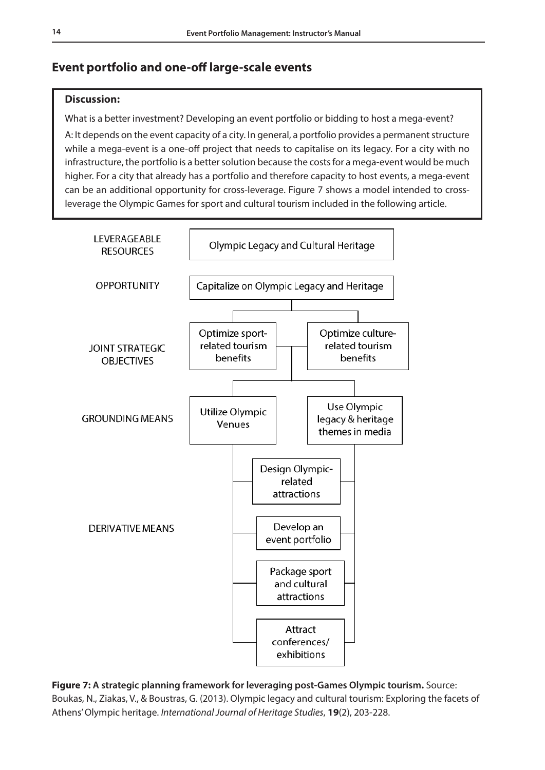#### **Event portfolio and one-off large-scale events**

#### **Discussion:**

What is a better investment? Developing an event portfolio or bidding to host a mega-event?

A: It depends on the event capacity of a city. In general, a portfolio provides a permanent structure while a mega-event is a one-off project that needs to capitalise on its legacy. For a city with no infrastructure, the portfolio is a better solution because the costs for a mega-event would be much higher. For a city that already has a portfolio and therefore capacity to host events, a mega-event can be an additional opportunity for cross-leverage. Figure 7 shows a model intended to crossleverage the Olympic Games for sport and cultural tourism included in the following article.



**Figure 7: A strategic planning framework for leveraging post-Games Olympic tourism.** Source: Boukas, N., Ziakas, V., & Boustras, G. (2013). Olympic legacy and cultural tourism: Exploring the facets of Athens' Olympic heritage. *International Journal of Heritage Studies*, **19**(2), 203-228.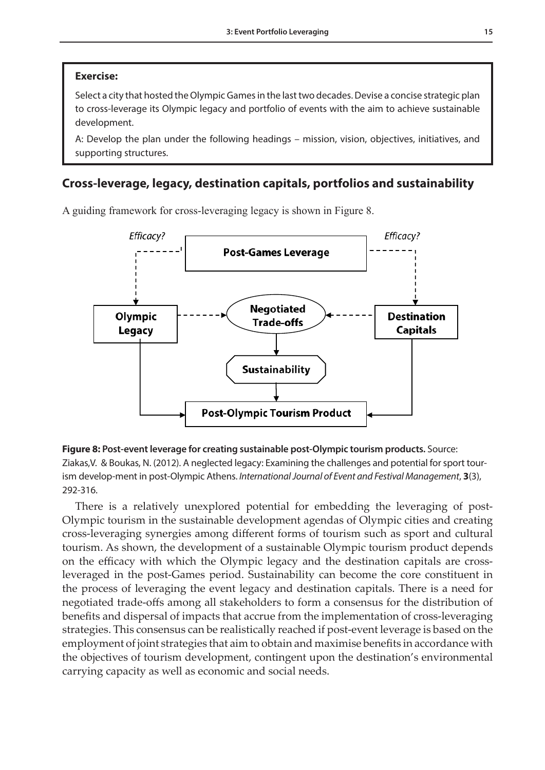#### **Exercise:**

Select a city that hosted the Olympic Games in the last two decades. Devise a concise strategic plan to cross-leverage its Olympic legacy and portfolio of events with the aim to achieve sustainable development.

A: Develop the plan under the following headings – mission, vision, objectives, initiatives, and supporting structures.

### Cross-leverage, legacy, destination capitals, portfolios and sustainability

A guiding framework for cross-leveraging legacy is shown in Figure 8.



Ziakas,V. & Boukas, N. (2012). A neglected legacy: Examining the challenges and potential for sport tourism develop-ment in post-Olympic Athens. International Journal of Event and Festival Management, 3(3), Management, 3(3), 292-316. **Figure 8: Post-event leverage for creating sustainable post-Olympic tourism products.** Source: 292-316.

There is a relatively unexplored potential for embedding the leveraging of post-Olympic tourism in the sustainable development agendas of Olympic cities and creating cross-leveraging synergies among different forms of tourism such as sport and cultural tourism. As shown, the development of a sustainable Olympic tourism product depends on the efficacy with which the Olympic legacy and the destination capitals are crossleveraged in the post-Games period. Sustainability can become the core constituent in the process of leveraging the event legacy and destination capitals. There is a need for negotiated trade-offs among all stakeholders to form a consensus for the distribution of benefits and dispersal of impacts that accrue from the implementation of cross-leveraging strategies. This consensus can be realistically reached if post-event leverage is based on the employment of joint strategies that aim to obtain and maximise benefits in accordance with the objectives of tourism development, contingent upon the destination's environmental carrying capacity as well as economic and social needs.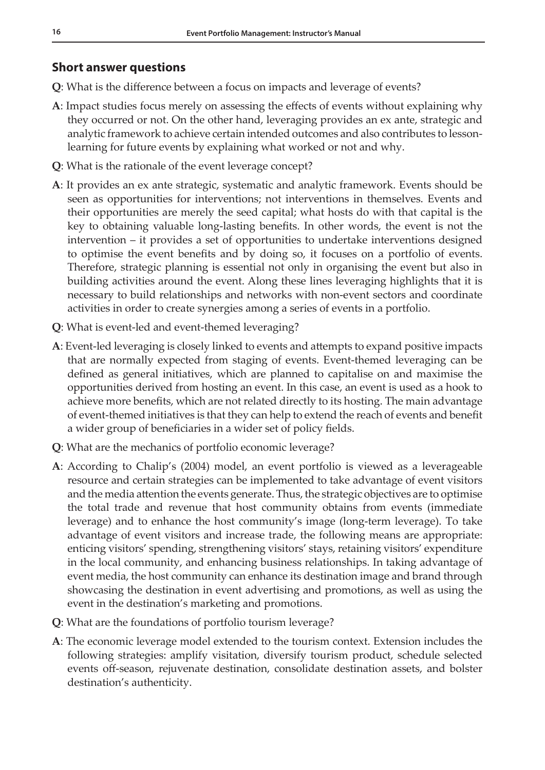#### **Short answer questions**

- **Q**: What is the difference between a focus on impacts and leverage of events?
- **A**: Impact studies focus merely on assessing the effects of events without explaining why they occurred or not. On the other hand, leveraging provides an ex ante, strategic and analytic framework to achieve certain intended outcomes and also contributes to lessonlearning for future events by explaining what worked or not and why.
- **Q**: What is the rationale of the event leverage concept?
- **A**: It provides an ex ante strategic, systematic and analytic framework. Events should be seen as opportunities for interventions; not interventions in themselves. Events and their opportunities are merely the seed capital; what hosts do with that capital is the key to obtaining valuable long-lasting benefits. In other words, the event is not the intervention – it provides a set of opportunities to undertake interventions designed to optimise the event benefits and by doing so, it focuses on a portfolio of events. Therefore, strategic planning is essential not only in organising the event but also in building activities around the event. Along these lines leveraging highlights that it is necessary to build relationships and networks with non-event sectors and coordinate activities in order to create synergies among a series of events in a portfolio.
- **Q**: What is event-led and event-themed leveraging?
- **A**: Event-led leveraging is closely linked to events and attempts to expand positive impacts that are normally expected from staging of events. Event-themed leveraging can be defined as general initiatives, which are planned to capitalise on and maximise the opportunities derived from hosting an event. In this case, an event is used as a hook to achieve more benefits, which are not related directly to its hosting. The main advantage of event-themed initiatives is that they can help to extend the reach of events and benefit a wider group of beneficiaries in a wider set of policy fields.
- **Q**: What are the mechanics of portfolio economic leverage?
- **A**: According to Chalip's (2004) model, an event portfolio is viewed as a leverageable resource and certain strategies can be implemented to take advantage of event visitors and the media attention the events generate. Thus, the strategic objectives are to optimise the total trade and revenue that host community obtains from events (immediate leverage) and to enhance the host community's image (long-term leverage). To take advantage of event visitors and increase trade, the following means are appropriate: enticing visitors' spending, strengthening visitors' stays, retaining visitors' expenditure in the local community, and enhancing business relationships. In taking advantage of event media, the host community can enhance its destination image and brand through showcasing the destination in event advertising and promotions, as well as using the event in the destination's marketing and promotions.
- **Q**: What are the foundations of portfolio tourism leverage?
- **A**: The economic leverage model extended to the tourism context. Extension includes the following strategies: amplify visitation, diversify tourism product, schedule selected events off-season, rejuvenate destination, consolidate destination assets, and bolster destination's authenticity.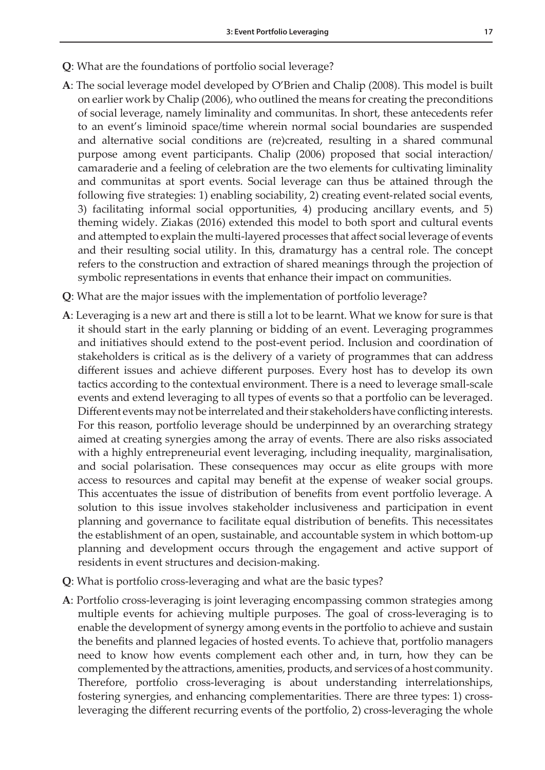- **Q**: What are the foundations of portfolio social leverage?
- **A**: The social leverage model developed by O'Brien and Chalip (2008). This model is built on earlier work by Chalip (2006), who outlined the means for creating the preconditions of social leverage, namely liminality and communitas. In short, these antecedents refer to an event's liminoid space/time wherein normal social boundaries are suspended and alternative social conditions are (re)created, resulting in a shared communal purpose among event participants. Chalip (2006) proposed that social interaction/ camaraderie and a feeling of celebration are the two elements for cultivating liminality and communitas at sport events. Social leverage can thus be attained through the following five strategies: 1) enabling sociability, 2) creating event-related social events, 3) facilitating informal social opportunities, 4) producing ancillary events, and 5) theming widely. Ziakas (2016) extended this model to both sport and cultural events and attempted to explain the multi-layered processes that affect social leverage of events and their resulting social utility. In this, dramaturgy has a central role. The concept refers to the construction and extraction of shared meanings through the projection of symbolic representations in events that enhance their impact on communities.
- **Q**: What are the major issues with the implementation of portfolio leverage?
- **A**: Leveraging is a new art and there is still a lot to be learnt. What we know for sure is that it should start in the early planning or bidding of an event. Leveraging programmes and initiatives should extend to the post-event period. Inclusion and coordination of stakeholders is critical as is the delivery of a variety of programmes that can address different issues and achieve different purposes. Every host has to develop its own tactics according to the contextual environment. There is a need to leverage small-scale events and extend leveraging to all types of events so that a portfolio can be leveraged. Different events may not be interrelated and their stakeholders have conflicting interests. For this reason, portfolio leverage should be underpinned by an overarching strategy aimed at creating synergies among the array of events. There are also risks associated with a highly entrepreneurial event leveraging, including inequality, marginalisation, and social polarisation. These consequences may occur as elite groups with more access to resources and capital may benefit at the expense of weaker social groups. This accentuates the issue of distribution of benefits from event portfolio leverage. A solution to this issue involves stakeholder inclusiveness and participation in event planning and governance to facilitate equal distribution of benefits. This necessitates the establishment of an open, sustainable, and accountable system in which bottom-up planning and development occurs through the engagement and active support of residents in event structures and decision-making.
- **Q**: What is portfolio cross-leveraging and what are the basic types?
- **A**: Portfolio cross-leveraging is joint leveraging encompassing common strategies among multiple events for achieving multiple purposes. The goal of cross-leveraging is to enable the development of synergy among events in the portfolio to achieve and sustain the benefits and planned legacies of hosted events. To achieve that, portfolio managers need to know how events complement each other and, in turn, how they can be complemented by the attractions, amenities, products, and services of a host community. Therefore, portfolio cross-leveraging is about understanding interrelationships, fostering synergies, and enhancing complementarities. There are three types: 1) crossleveraging the different recurring events of the portfolio, 2) cross-leveraging the whole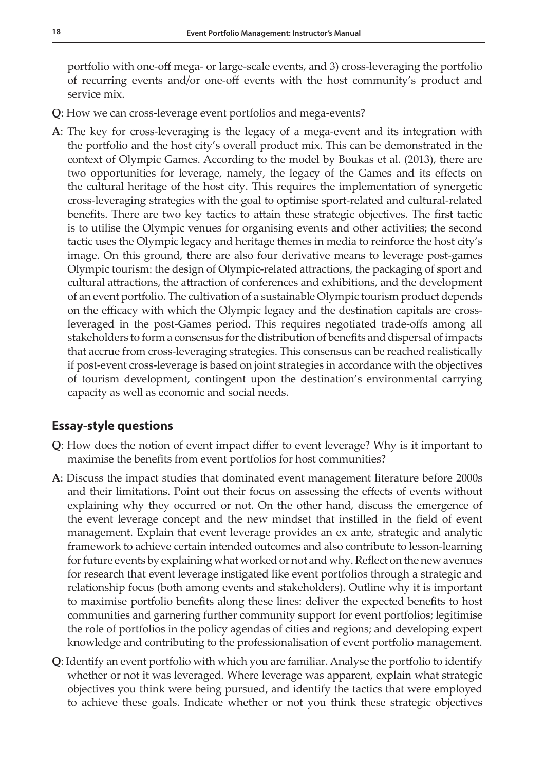portfolio with one-off mega- or large-scale events, and 3) cross-leveraging the portfolio of recurring events and/or one-off events with the host community's product and service mix.

- **Q**: How we can cross-leverage event portfolios and mega-events?
- **A**: The key for cross-leveraging is the legacy of a mega-event and its integration with the portfolio and the host city's overall product mix. This can be demonstrated in the context of Olympic Games. According to the model by Boukas et al. (2013), there are two opportunities for leverage, namely, the legacy of the Games and its effects on the cultural heritage of the host city. This requires the implementation of synergetic cross-leveraging strategies with the goal to optimise sport-related and cultural-related benefits. There are two key tactics to attain these strategic objectives. The first tactic is to utilise the Olympic venues for organising events and other activities; the second tactic uses the Olympic legacy and heritage themes in media to reinforce the host city's image. On this ground, there are also four derivative means to leverage post-games Olympic tourism: the design of Olympic-related attractions, the packaging of sport and cultural attractions, the attraction of conferences and exhibitions, and the development of an event portfolio. The cultivation of a sustainable Olympic tourism product depends on the efficacy with which the Olympic legacy and the destination capitals are crossleveraged in the post-Games period. This requires negotiated trade-offs among all stakeholders to form a consensus for the distribution of benefits and dispersal of impacts that accrue from cross-leveraging strategies. This consensus can be reached realistically if post-event cross-leverage is based on joint strategies in accordance with the objectives of tourism development, contingent upon the destination's environmental carrying capacity as well as economic and social needs.

#### **Essay-style questions**

- **Q**: How does the notion of event impact differ to event leverage? Why is it important to maximise the benefits from event portfolios for host communities?
- **A**: Discuss the impact studies that dominated event management literature before 2000s and their limitations. Point out their focus on assessing the effects of events without explaining why they occurred or not. On the other hand, discuss the emergence of the event leverage concept and the new mindset that instilled in the field of event management. Explain that event leverage provides an ex ante, strategic and analytic framework to achieve certain intended outcomes and also contribute to lesson-learning for future events by explaining what worked or not and why. Reflect on the new avenues for research that event leverage instigated like event portfolios through a strategic and relationship focus (both among events and stakeholders). Outline why it is important to maximise portfolio benefits along these lines: deliver the expected benefits to host communities and garnering further community support for event portfolios; legitimise the role of portfolios in the policy agendas of cities and regions; and developing expert knowledge and contributing to the professionalisation of event portfolio management.
- **Q**: Identify an event portfolio with which you are familiar. Analyse the portfolio to identify whether or not it was leveraged. Where leverage was apparent, explain what strategic objectives you think were being pursued, and identify the tactics that were employed to achieve these goals. Indicate whether or not you think these strategic objectives